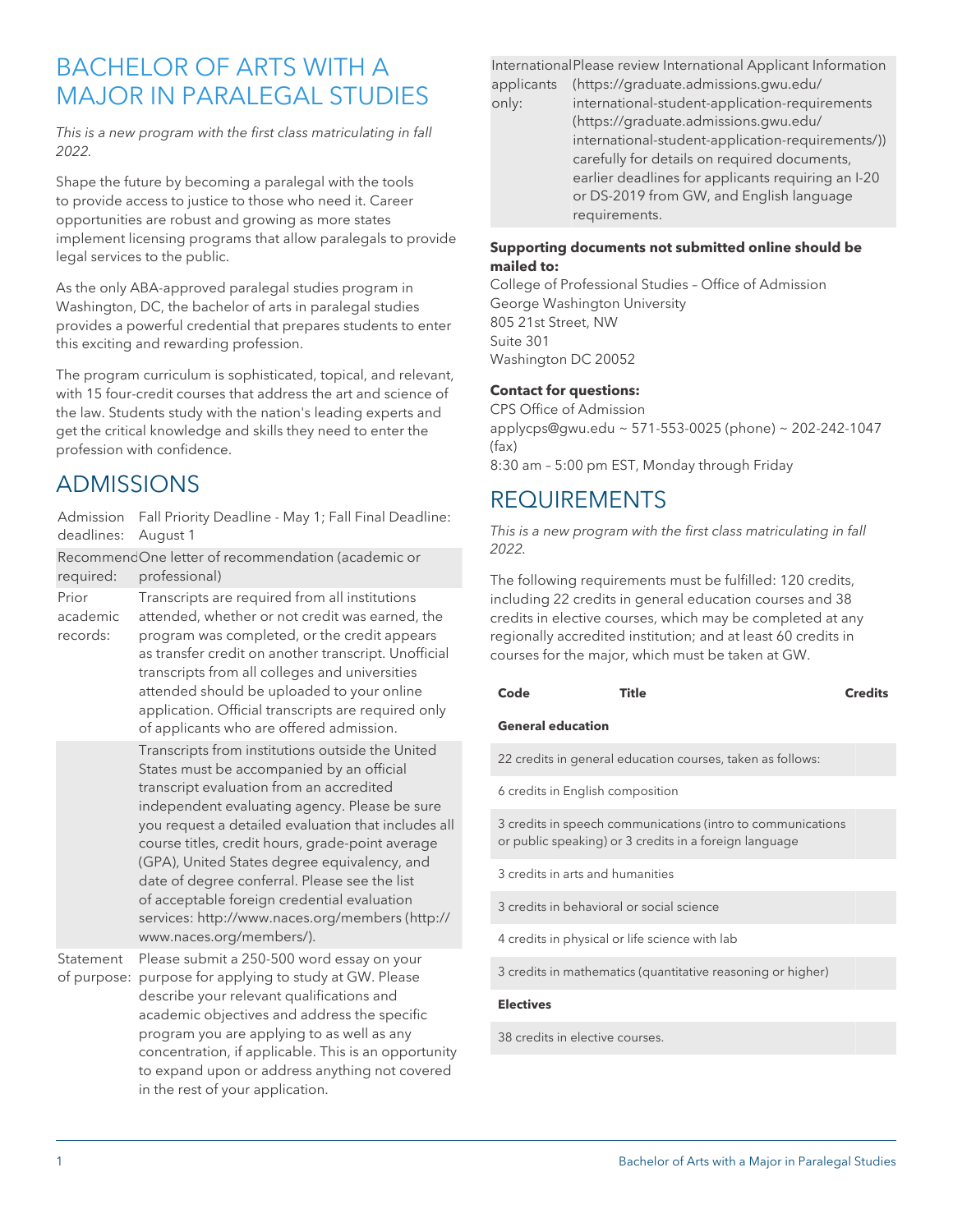# BACHELOR OF ARTS WITH A MAJOR IN PARALEGAL STUDIES

*This is a new program with the first class matriculating in fall 2022.*

Shape the future by becoming a paralegal with the tools to provide access to justice to those who need it. Career opportunities are robust and growing as more states implement licensing programs that allow paralegals to provide legal services to the public.

As the only ABA-approved paralegal studies program in Washington, DC, the bachelor of arts in paralegal studies provides a powerful credential that prepares students to enter this exciting and rewarding profession.

The program curriculum is sophisticated, topical, and relevant, with 15 four-credit courses that address the art and science of the law. Students study with the nation's leading experts and get the critical knowledge and skills they need to enter the profession with confidence.

# ADMISSIONS

| Admission<br>deadlines:       | Fall Priority Deadline - May 1; Fall Final Deadline:<br>August 1                                                                                                                                                                                                                                                                                                                                                                                                                                                                     |
|-------------------------------|--------------------------------------------------------------------------------------------------------------------------------------------------------------------------------------------------------------------------------------------------------------------------------------------------------------------------------------------------------------------------------------------------------------------------------------------------------------------------------------------------------------------------------------|
| required:                     | RecommendOne letter of recommendation (academic or<br>professional)                                                                                                                                                                                                                                                                                                                                                                                                                                                                  |
| Prior<br>academic<br>records: | Transcripts are required from all institutions<br>attended, whether or not credit was earned, the<br>program was completed, or the credit appears<br>as transfer credit on another transcript. Unofficial<br>transcripts from all colleges and universities<br>attended should be uploaded to your online<br>application. Official transcripts are required only<br>of applicants who are offered admission.                                                                                                                         |
|                               | Transcripts from institutions outside the United<br>States must be accompanied by an official<br>transcript evaluation from an accredited<br>independent evaluating agency. Please be sure<br>you request a detailed evaluation that includes all<br>course titles, credit hours, grade-point average<br>(GPA), United States degree equivalency, and<br>date of degree conferral. Please see the list<br>of acceptable foreign credential evaluation<br>services: http://www.naces.org/members (http://<br>www.naces.org/members/). |
| Statement<br>of purpose:      | Please submit a 250-500 word essay on your<br>purpose for applying to study at GW. Please<br>describe your relevant qualifications and<br>academic objectives and address the specific<br>program you are applying to as well as any<br>concentration, if applicable. This is an opportunity<br>to expand upon or address anything not covered<br>in the rest of your application.                                                                                                                                                   |

International Please review International Applicant Information applicants ([https://graduate.admissions.gwu.edu/](https://graduate.admissions.gwu.edu/international-student-application-requirements/)

only: [international-student-application-requirements](https://graduate.admissions.gwu.edu/international-student-application-requirements/) ([https://graduate.admissions.gwu.edu/](https://graduate.admissions.gwu.edu/international-student-application-requirements/) [international-student-application-requirements/\)](https://graduate.admissions.gwu.edu/international-student-application-requirements/)) carefully for details on required documents, earlier deadlines for applicants requiring an I-20 or DS-2019 from GW, and English language requirements.

### **Supporting documents not submitted online should be mailed to:**

College of Professional Studies – Office of Admission George Washington University 805 21st Street, NW Suite 301 Washington DC 20052

#### **Contact for questions:**

CPS Office of Admission [applycps@gwu.edu](mailto:applycps@gwu.edu) ~ 571-553-0025 (phone) ~ 202-242-1047 (fax) 8:30 am – 5:00 pm EST, Monday through Friday

## REQUIREMENTS

*This is a new program with the first class matriculating in fall 2022.*

The following requirements must be fulfilled: 120 credits, including 22 credits in general education courses and 38 credits in elective courses, which may be completed at any regionally accredited institution; and at least 60 credits in courses for the major, which must be taken at GW.

#### **Code Title Credits**

#### **General education**

22 credits in general education courses, taken as follows:

6 credits in English composition

3 credits in speech communications (intro to communications or public speaking) or 3 credits in a foreign language

3 credits in arts and humanities

3 credits in behavioral or social science

4 credits in physical or life science with lab

3 credits in mathematics (quantitative reasoning or higher)

#### **Electives**

38 credits in elective courses.